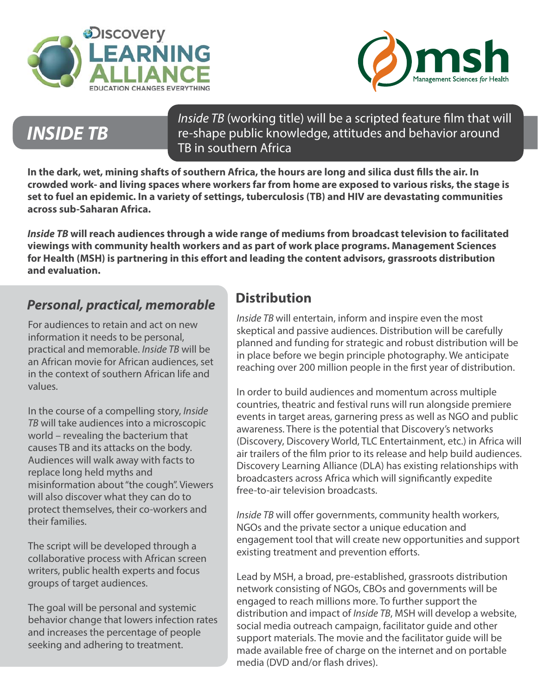



## *INSIDE TB*

*Inside TB* (working title) will be a scripted feature film that will re-shape public knowledge, attitudes and behavior around TB in southern Africa

**In the dark, wet, mining shafts of southern Africa, the hours are long and silica dust fills the air. In crowded work- and living spaces where workers far from home are exposed to various risks, the stage is set to fuel an epidemic. In a variety of settings, tuberculosis (TB) and HIV are devastating communities across sub-Saharan Africa.** 

*Inside TB* **will reach audiences through a wide range of mediums from broadcast television to facilitated viewings with community health workers and as part of work place programs. Management Sciences for Health (MSH) is partnering in this effort and leading the content advisors, grassroots distribution and evaluation.** 

#### *Personal, practical, memorable*

For audiences to retain and act on new information it needs to be personal, practical and memorable. *Inside TB* will be an African movie for African audiences, set in the context of southern African life and values.

In the course of a compelling story, *Inside TB* will take audiences into a microscopic world – revealing the bacterium that causes TB and its attacks on the body. Audiences will walk away with facts to replace long held myths and misinformation about "the cough". Viewers will also discover what they can do to protect themselves, their co-workers and their families.

The script will be developed through a collaborative process with African screen writers, public health experts and focus groups of target audiences.

The goal will be personal and systemic behavior change that lowers infection rates and increases the percentage of people seeking and adhering to treatment.

### **Distribution**

*Inside TB* will entertain, inform and inspire even the most skeptical and passive audiences. Distribution will be carefully planned and funding for strategic and robust distribution will be in place before we begin principle photography. We anticipate reaching over 200 million people in the first year of distribution.

In order to build audiences and momentum across multiple countries, theatric and festival runs will run alongside premiere events in target areas, garnering press as well as NGO and public awareness. There is the potential that Discovery's networks (Discovery, Discovery World, TLC Entertainment, etc.) in Africa will air trailers of the film prior to its release and help build audiences. Discovery Learning Alliance (DLA) has existing relationships with broadcasters across Africa which will significantly expedite free-to-air television broadcasts.

*Inside TB* will offer governments, community health workers, NGOs and the private sector a unique education and engagement tool that will create new opportunities and support existing treatment and prevention efforts.

Lead by MSH, a broad, pre-established, grassroots distribution network consisting of NGOs, CBOs and governments will be engaged to reach millions more. To further support the distribution and impact of *Inside TB*, MSH will develop a website, social media outreach campaign, facilitator guide and other support materials. The movie and the facilitator guide will be made available free of charge on the internet and on portable media (DVD and/or flash drives).